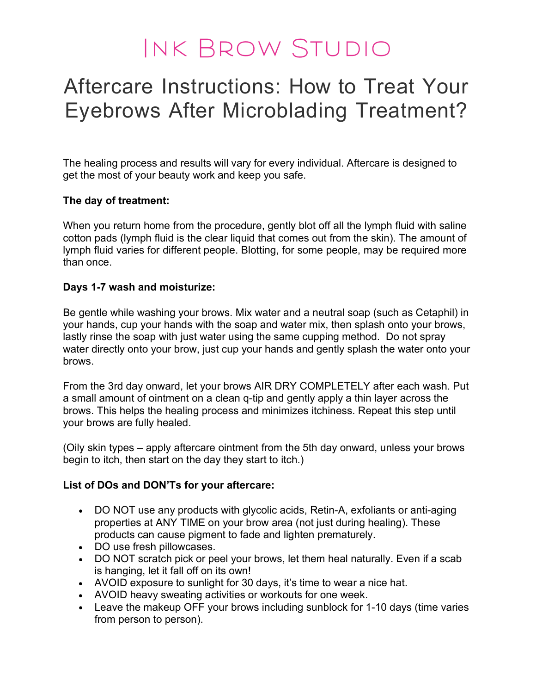## Ink Brow Studio

### Aftercare Instructions: How to Treat Your Eyebrows After Microblading Treatment?

The healing process and results will vary for every individual. Aftercare is designed to get the most of your beauty work and keep you safe.

#### The day of treatment:

When you return home from the procedure, gently blot off all the lymph fluid with saline cotton pads (lymph fluid is the clear liquid that comes out from the skin). The amount of lymph fluid varies for different people. Blotting, for some people, may be required more than once.

#### Days 1-7 wash and moisturize:

Be gentle while washing your brows. Mix water and a neutral soap (such as Cetaphil) in your hands, cup your hands with the soap and water mix, then splash onto your brows, lastly rinse the soap with just water using the same cupping method. Do not spray water directly onto your brow, just cup your hands and gently splash the water onto your brows.

From the 3rd day onward, let your brows AIR DRY COMPLETELY after each wash. Put a small amount of ointment on a clean q-tip and gently apply a thin layer across the brows. This helps the healing process and minimizes itchiness. Repeat this step until your brows are fully healed.

(Oily skin types – apply aftercare ointment from the 5th day onward, unless your brows begin to itch, then start on the day they start to itch.)

#### List of DOs and DON'Ts for your aftercare:

- DO NOT use any products with glycolic acids, Retin-A, exfoliants or anti-aging properties at ANY TIME on your brow area (not just during healing). These products can cause pigment to fade and lighten prematurely.
- DO use fresh pillowcases.
- DO NOT scratch pick or peel your brows, let them heal naturally. Even if a scab is hanging, let it fall off on its own!
- AVOID exposure to sunlight for 30 days, it's time to wear a nice hat.
- AVOID heavy sweating activities or workouts for one week.
- Leave the makeup OFF your brows including sunblock for 1-10 days (time varies from person to person).